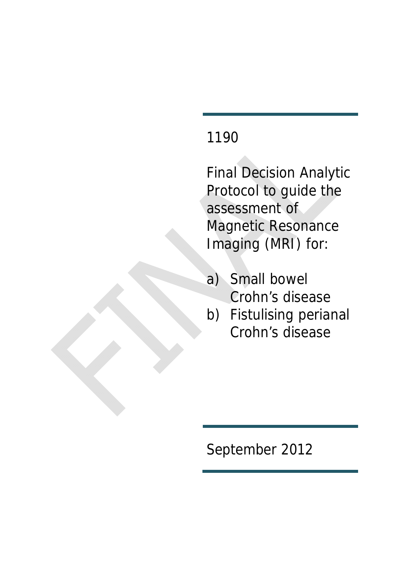# 1190

Final Decision Analytic Protocol to guide the assessment of Magnetic Resonance Imaging (MRI) for:

- a) Small bowel Crohn's disease
- b) Fistulising perianal Crohn's disease

September 2012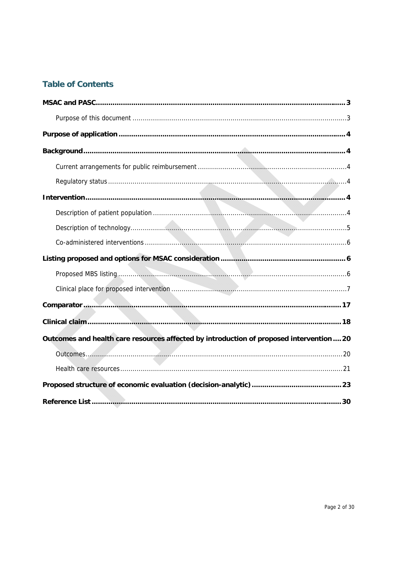## **Table of Contents**

| Outcomes and health care resources affected by introduction of proposed intervention 20 |
|-----------------------------------------------------------------------------------------|
|                                                                                         |
|                                                                                         |
|                                                                                         |
|                                                                                         |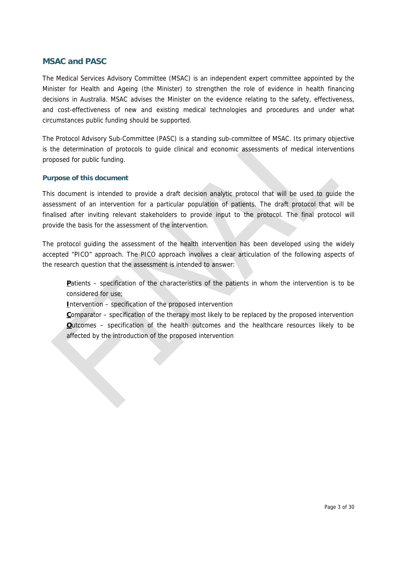#### **MSAC and PASC**

The Medical Services Advisory Committee (MSAC) is an independent expert committee appointed by the Minister for Health and Ageing (the Minister) to strengthen the role of evidence in health financing decisions in Australia. MSAC advises the Minister on the evidence relating to the safety, effectiveness, and cost-effectiveness of new and existing medical technologies and procedures and under what circumstances public funding should be supported.

The Protocol Advisory Sub-Committee (PASC) is a standing sub-committee of MSAC. Its primary objective is the determination of protocols to guide clinical and economic assessments of medical interventions proposed for public funding.

#### **Purpose of this document**

This document is intended to provide a draft decision analytic protocol that will be used to guide the assessment of an intervention for a particular population of patients. The draft protocol that will be finalised after inviting relevant stakeholders to provide input to the protocol. The final protocol will provide the basis for the assessment of the intervention.

The protocol guiding the assessment of the health intervention has been developed using the widely accepted "PICO" approach. The PICO approach involves a clear articulation of the following aspects of the research question that the assessment is intended to answer:

Patients – specification of the characteristics of the patients in whom the intervention is to be considered for use;

**I**ntervention – specification of the proposed intervention

**C**omparator – specification of the therapy most likely to be replaced by the proposed intervention **O**utcomes – specification of the health outcomes and the healthcare resources likely to be affected by the introduction of the proposed intervention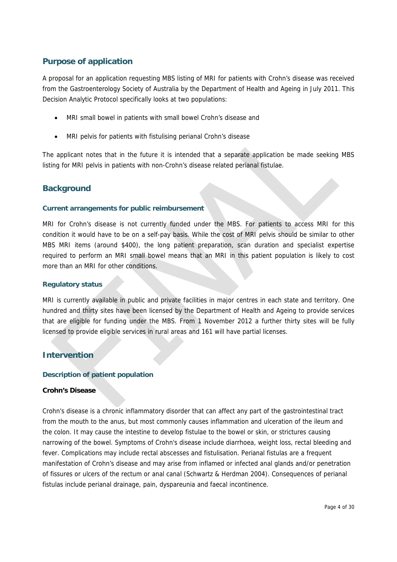## **Purpose of application**

A proposal for an application requesting MBS listing of MRI for patients with Crohn's disease was received from the Gastroenterology Society of Australia by the Department of Health and Ageing in July 2011. This Decision Analytic Protocol specifically looks at two populations:

- MRI small bowel in patients with small bowel Crohn's disease and
- MRI pelvis for patients with fistulising perianal Crohn's disease

The applicant notes that in the future it is intended that a separate application be made seeking MBS listing for MRI pelvis in patients with non-Crohn's disease related perianal fistulae.

## **Background**

#### **Current arrangements for public reimbursement**

MRI for Crohn's disease is not currently funded under the MBS. For patients to access MRI for this condition it would have to be on a self-pay basis. While the cost of MRI pelvis should be similar to other MBS MRI items (around \$400), the long patient preparation, scan duration and specialist expertise required to perform an MRI small bowel means that an MRI in this patient population is likely to cost more than an MRI for other conditions.

#### **Regulatory status**

MRI is currently available in public and private facilities in major centres in each state and territory. One hundred and thirty sites have been licensed by the Department of Health and Ageing to provide services that are eligible for funding under the MBS. From 1 November 2012 a further thirty sites will be fully licensed to provide eligible services in rural areas and 161 will have partial licenses.

#### **Intervention**

#### **Description of patient population**

#### **Crohn's Disease**

Crohn's disease is a chronic inflammatory disorder that can affect any part of the gastrointestinal tract from the mouth to the anus, but most commonly causes inflammation and ulceration of the ileum and the colon. It may cause the intestine to develop fistulae to the bowel or skin, or strictures causing narrowing of the bowel. Symptoms of Crohn's disease include diarrhoea, weight loss, rectal bleeding and fever. Complications may include rectal abscesses and fistulisation. Perianal fistulas are a frequent manifestation of Crohn's disease and may arise from inflamed or infected anal glands and/or penetration of fissures or ulcers of the rectum or anal canal (Schwartz & Herdman 2004). Consequences of perianal fistulas include perianal drainage, pain, dyspareunia and faecal incontinence.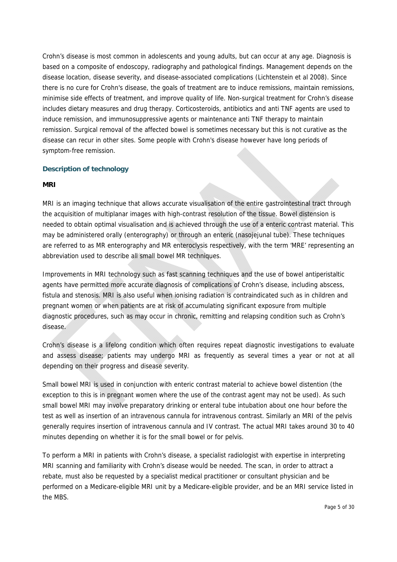Crohn's disease is most common in adolescents and young adults, but can occur at any age. Diagnosis is based on a composite of endoscopy, radiography and pathological findings. Management depends on the disease location, disease severity, and disease-associated complications (Lichtenstein et al 2008). Since there is no cure for Crohn's disease, the goals of treatment are to induce remissions, maintain remissions, minimise side effects of treatment, and improve quality of life. Non-surgical treatment for Crohn's disease includes dietary measures and drug therapy. Corticosteroids, antibiotics and anti TNF agents are used to induce remission, and immunosuppressive agents or maintenance anti TNF therapy to maintain remission. Surgical removal of the affected bowel is sometimes necessary but this is not curative as the disease can recur in other sites. Some people with Crohn's disease however have long periods of symptom-free remission.

#### **Description of technology**

#### **MRI**

MRI is an imaging technique that allows accurate visualisation of the entire gastrointestinal tract through the acquisition of multiplanar images with high-contrast resolution of the tissue. Bowel distension is needed to obtain optimal visualisation and is achieved through the use of a enteric contrast material. This may be administered orally (enterography) or through an enteric (nasojejunal tube). These techniques are referred to as MR enterography and MR enteroclysis respectively, with the term 'MRE' representing an abbreviation used to describe all small bowel MR techniques.

Improvements in MRI technology such as fast scanning techniques and the use of bowel antiperistaltic agents have permitted more accurate diagnosis of complications of Crohn's disease, including abscess, fistula and stenosis. MRI is also useful when ionising radiation is contraindicated such as in children and pregnant women or when patients are at risk of accumulating significant exposure from multiple diagnostic procedures, such as may occur in chronic, remitting and relapsing condition such as Crohn's disease.

Crohn's disease is a lifelong condition which often requires repeat diagnostic investigations to evaluate and assess disease; patients may undergo MRI as frequently as several times a year or not at all depending on their progress and disease severity.

Small bowel MRI is used in conjunction with enteric contrast material to achieve bowel distention (the exception to this is in pregnant women where the use of the contrast agent may not be used). As such small bowel MRI may involve preparatory drinking or enteral tube intubation about one hour before the test as well as insertion of an intravenous cannula for intravenous contrast. Similarly an MRI of the pelvis generally requires insertion of intravenous cannula and IV contrast. The actual MRI takes around 30 to 40 minutes depending on whether it is for the small bowel or for pelvis.

To perform a MRI in patients with Crohn's disease, a specialist radiologist with expertise in interpreting MRI scanning and familiarity with Crohn's disease would be needed. The scan, in order to attract a rebate, must also be requested by a specialist medical practitioner or consultant physician and be performed on a Medicare-eligible MRI unit by a Medicare-eligible provider, and be an MRI service listed in the MBS.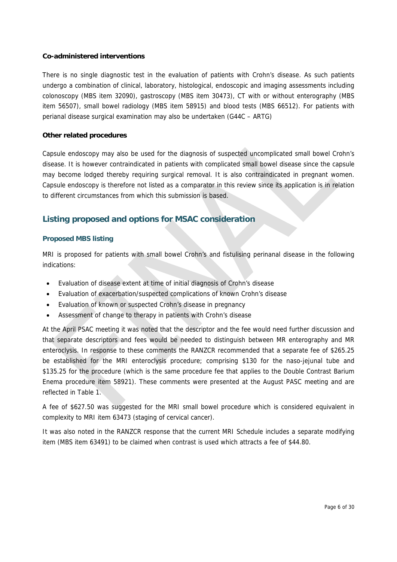#### **Co-administered interventions**

There is no single diagnostic test in the evaluation of patients with Crohn's disease. As such patients undergo a combination of clinical, laboratory, histological, endoscopic and imaging assessments including colonoscopy (MBS item 32090), gastroscopy (MBS item 30473), CT with or without enterography (MBS item 56507), small bowel radiology (MBS item 58915) and blood tests (MBS 66512). For patients with perianal disease surgical examination may also be undertaken (G44C – ARTG)

#### **Other related procedures**

Capsule endoscopy may also be used for the diagnosis of suspected uncomplicated small bowel Crohn's disease. It is however contraindicated in patients with complicated small bowel disease since the capsule may become lodged thereby requiring surgical removal. It is also contraindicated in pregnant women. Capsule endoscopy is therefore not listed as a comparator in this review since its application is in relation to different circumstances from which this submission is based.

## **Listing proposed and options for MSAC consideration**

#### **Proposed MBS listing**

MRI is proposed for patients with small bowel Crohn's and fistulising perinanal disease in the following indications:

- Evaluation of disease extent at time of initial diagnosis of Crohn's disease
- Evaluation of exacerbation/suspected complications of known Crohn's disease
- Evaluation of known or suspected Crohn's disease in pregnancy
- Assessment of change to therapy in patients with Crohn's disease

At the April PSAC meeting it was noted that the descriptor and the fee would need further discussion and that separate descriptors and fees would be needed to distinguish between MR enterography and MR enteroclysis. In response to these comments the RANZCR recommended that a separate fee of \$265.25 be established for the MRI enteroclysis procedure; comprising \$130 for the naso-jejunal tube and \$135.25 for the procedure (which is the same procedure fee that applies to the Double Contrast Barium Enema procedure item 58921). These comments were presented at the August PASC meeting and are reflected in Table 1.

A fee of \$627.50 was suggested for the MRI small bowel procedure which is considered equivalent in complexity to MRI item 63473 (staging of cervical cancer).

It was also noted in the RANZCR response that the current MRI Schedule includes a separate modifying item (MBS item 63491) to be claimed when contrast is used which attracts a fee of \$44.80.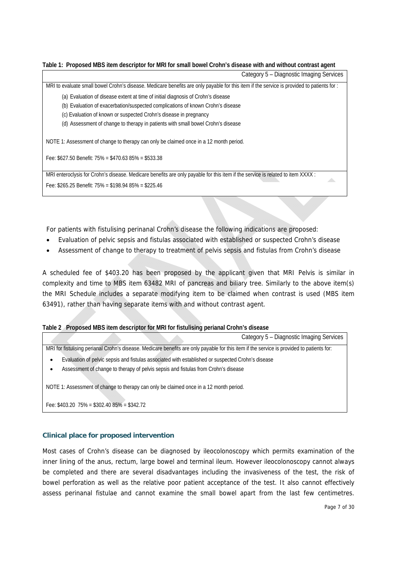#### **Table 1: Proposed MBS item descriptor for MRI for small bowel Crohn's disease with and without contrast agent**

| Category 5 - Diagnostic Imaging Services                                                                                                         |
|--------------------------------------------------------------------------------------------------------------------------------------------------|
| MRI to evaluate small bowel Crohn's disease. Medicare benefits are only payable for this item if the service is provided to patients for:        |
| (a) Evaluation of disease extent at time of initial diagnosis of Crohn's disease                                                                 |
| (b) Evaluation of exacerbation/suspected complications of known Crohn's disease                                                                  |
| (c) Evaluation of known or suspected Crohn's disease in pregnancy                                                                                |
| (d) Assessment of change to therapy in patients with small bowel Crohn's disease                                                                 |
| NOTE 1: Assessment of change to therapy can only be claimed once in a 12 month period.<br>Fee: $$627.50$ Benefit: 75% = $$470.6385\%$ = \$533.38 |
| MRI enteroclysis for Crohn's disease. Medicare benefits are only payable for this item if the service is related to item XXXX :                  |
| Fee: \$265.25 Benefit: 75% = \$198.94 85% = \$225.46                                                                                             |
|                                                                                                                                                  |

For patients with fistulising perinanal Crohn's disease the following indications are proposed:

- Evaluation of pelvic sepsis and fistulas associated with established or suspected Crohn's disease
- Assessment of change to therapy to treatment of pelvis sepsis and fistulas from Crohn's disease

A scheduled fee of \$403.20 has been proposed by the applicant given that MRI Pelvis is similar in complexity and time to MBS item 63482 MRI of pancreas and biliary tree. Similarly to the above item(s) the MRI Schedule includes a separate modifying item to be claimed when contrast is used (MBS item 63491), rather than having separate items with and without contrast agent.

#### **Table 2 Proposed MBS item descriptor for MRI for fistulising perianal Crohn's disease**

|                                               |                                                                                                   | Category 5 - Diagnostic Imaging Services                                                                                                   |
|-----------------------------------------------|---------------------------------------------------------------------------------------------------|--------------------------------------------------------------------------------------------------------------------------------------------|
|                                               |                                                                                                   | MRI for fistulising perianal Crohn's disease. Medicare benefits are only payable for this item if the service is provided to patients for: |
| $\bullet$                                     | Evaluation of pelvic sepsis and fistulas associated with established or suspected Crohn's disease |                                                                                                                                            |
| ٠                                             | Assessment of change to therapy of pelvis sepsis and fistulas from Crohn's disease                |                                                                                                                                            |
|                                               | NOTE 1: Assessment of change to therapy can only be claimed once in a 12 month period.            |                                                                                                                                            |
| Fee: $$403.20$ 75% = $$302.4085%$ = $$342.72$ |                                                                                                   |                                                                                                                                            |

#### **Clinical place for proposed intervention**

Most cases of Crohn's disease can be diagnosed by ileocolonoscopy which permits examination of the inner lining of the anus, rectum, large bowel and terminal ileum. However ileocolonoscopy cannot always be completed and there are several disadvantages including the invasiveness of the test, the risk of bowel perforation as well as the relative poor patient acceptance of the test. It also cannot effectively assess perinanal fistulae and cannot examine the small bowel apart from the last few centimetres.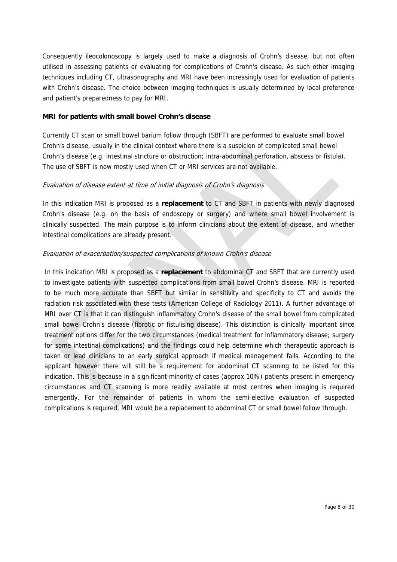Consequently ileocolonoscopy is largely used to make a diagnosis of Crohn's disease, but not often utilised in assessing patients or evaluating for complications of Crohn's disease. As such other imaging techniques including CT, ultrasonography and MRI have been increasingly used for evaluation of patients with Crohn's disease. The choice between imaging techniques is usually determined by local preference and patient's preparedness to pay for MRI.

#### **MRI for patients with small bowel Crohn's disease**

Currently CT scan or small bowel barium follow through (SBFT) are performed to evaluate small bowel Crohn's disease, usually in the clinical context where there is a suspicion of complicated small bowel Crohn's disease (e.g. intestinal stricture or obstruction; intra-abdominal perforation, abscess or fistula). The use of SBFT is now mostly used when CT or MRI services are not available.

#### Evaluation of disease extent at time of initial diagnosis of Crohn's diagnosis

In this indication MRI is proposed as a **replacement** to CT and SBFT in patients with newly diagnosed Crohn's disease (e.g. on the basis of endoscopy or surgery) and where small bowel involvement is clinically suspected. The main purpose is to inform clinicians about the extent of disease, and whether intestinal complications are already present.

#### Evaluation of exacerbation/suspected complications of known Crohn's disease

In this indication MRI is proposed as a **replacement** to abdominal CT and SBFT that are currently used to investigate patients with suspected complications from small bowel Crohn's disease. MRI is reported to be much more accurate than SBFT but similar in sensitivity and specificity to CT and avoids the radiation risk associated with these tests (American College of Radiology 2011). A further advantage of MRI over CT is that it can distinguish inflammatory Crohn's disease of the small bowel from complicated small bowel Crohn's disease (fibrotic or fistulising disease). This distinction is clinically important since treatment options differ for the two circumstances (medical treatment for inflammatory disease; surgery for some intestinal complications) and the findings could help determine which therapeutic approach is taken or lead clinicians to an early surgical approach if medical management fails. According to the applicant however there will still be a requirement for abdominal CT scanning to be listed for this indication. This is because in a significant minority of cases (approx 10%) patients present in emergency circumstances and CT scanning is more readily available at most centres when imaging is required emergently. For the remainder of patients in whom the semi-elective evaluation of suspected complications is required, MRI would be a replacement to abdominal CT or small bowel follow through.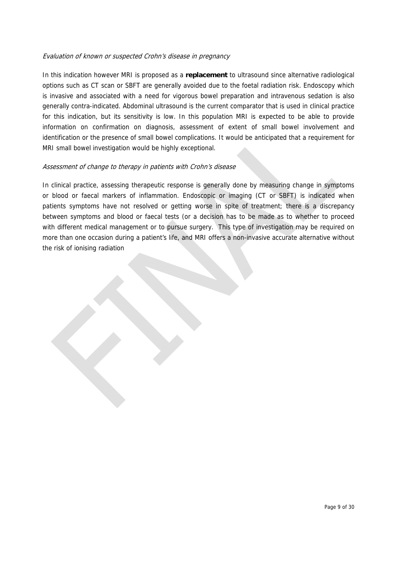#### Evaluation of known or suspected Crohn's disease in pregnancy

In this indication however MRI is proposed as a **replacement** to ultrasound since alternative radiological options such as CT scan or SBFT are generally avoided due to the foetal radiation risk. Endoscopy which is invasive and associated with a need for vigorous bowel preparation and intravenous sedation is also generally contra-indicated. Abdominal ultrasound is the current comparator that is used in clinical practice for this indication, but its sensitivity is low. In this population MRI is expected to be able to provide information on confirmation on diagnosis, assessment of extent of small bowel involvement and identification or the presence of small bowel complications. It would be anticipated that a requirement for MRI small bowel investigation would be highly exceptional.

#### Assessment of change to therapy in patients with Crohn's disease

In clinical practice, assessing therapeutic response is generally done by measuring change in symptoms or blood or faecal markers of inflammation. Endoscopic or imaging (CT or SBFT) is indicated when patients symptoms have not resolved or getting worse in spite of treatment; there is a discrepancy between symptoms and blood or faecal tests (or a decision has to be made as to whether to proceed with different medical management or to pursue surgery. This type of investigation may be required on more than one occasion during a patient's life, and MRI offers a non-invasive accurate alternative without the risk of ionising radiation

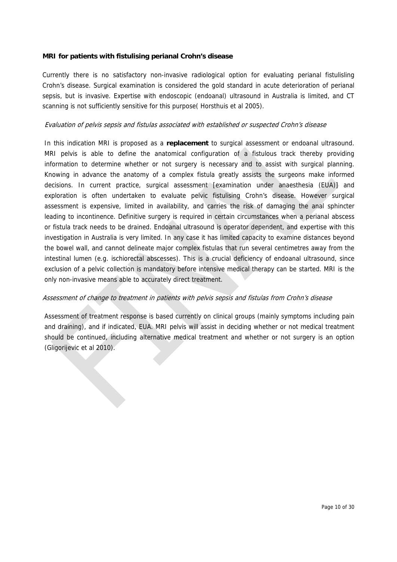#### **MRI for patients with fistulising perianal Crohn's disease**

Currently there is no satisfactory non-invasive radiological option for evaluating perianal fistulisling Crohn's disease. Surgical examination is considered the gold standard in acute deterioration of perianal sepsis, but is invasive. Expertise with endoscopic (endoanal) ultrasound in Australia is limited, and CT scanning is not sufficiently sensitive for this purpose( Horsthuis et al 2005).

#### Evaluation of pelvis sepsis and fistulas associated with established or suspected Crohn's disease

In this indication MRI is proposed as a **replacement** to surgical assessment or endoanal ultrasound. MRI pelvis is able to define the anatomical configuration of a fistulous track thereby providing information to determine whether or not surgery is necessary and to assist with surgical planning. Knowing in advance the anatomy of a complex fistula greatly assists the surgeons make informed decisions. In current practice, surgical assessment [examination under anaesthesia (EUA)] and exploration is often undertaken to evaluate pelvic fistulising Crohn's disease. However surgical assessment is expensive, limited in availability, and carries the risk of damaging the anal sphincter leading to incontinence. Definitive surgery is required in certain circumstances when a perianal abscess or fistula track needs to be drained. Endoanal ultrasound is operator dependent, and expertise with this investigation in Australia is very limited. In any case it has limited capacity to examine distances beyond the bowel wall, and cannot delineate major complex fistulas that run several centimetres away from the intestinal lumen (e.g. ischiorectal abscesses). This is a crucial deficiency of endoanal ultrasound, since exclusion of a pelvic collection is mandatory before intensive medical therapy can be started. MRI is the only non-invasive means able to accurately direct treatment.

#### Assessment of change to treatment in patients with pelvis sepsis and fistulas from Crohn's disease

Assessment of treatment response is based currently on clinical groups (mainly symptoms including pain and draining), and if indicated, EUA. MRI pelvis will assist in deciding whether or not medical treatment should be continued, including alternative medical treatment and whether or not surgery is an option (Gligorijevic et al 2010).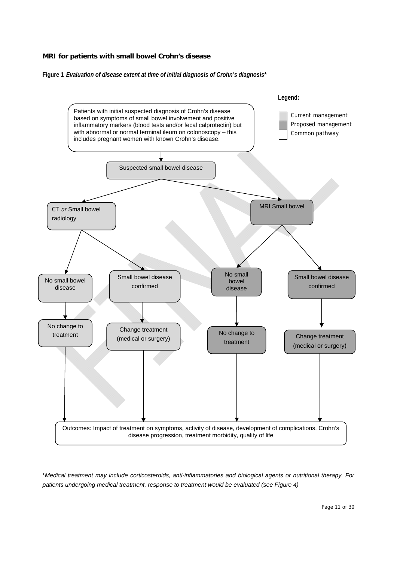**Figure 1** *Evaluation of disease extent at time of initial diagnosis of Crohn's diagnosis\** 



\**Medical treatment may include corticosteroids, anti-inflammatories and biological agents or nutritional therapy. For patients undergoing medical treatment, response to treatment would be evaluated (see Figure 4)*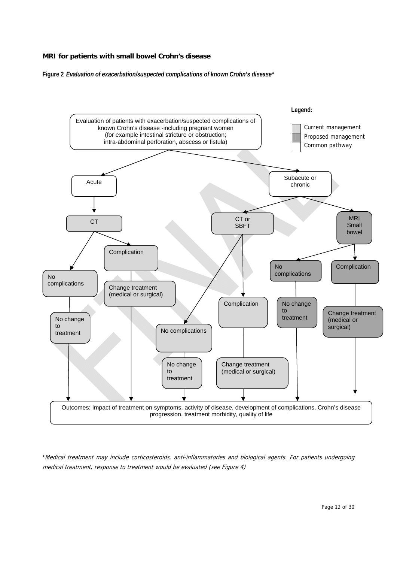**Figure 2** *Evaluation of exacerbation/suspected complications of known Crohn's disease\** 



\*Medical treatment may include corticosteroids, anti-inflammatories and biological agents. For patients undergoing medical treatment, response to treatment would be evaluated (see Figure 4)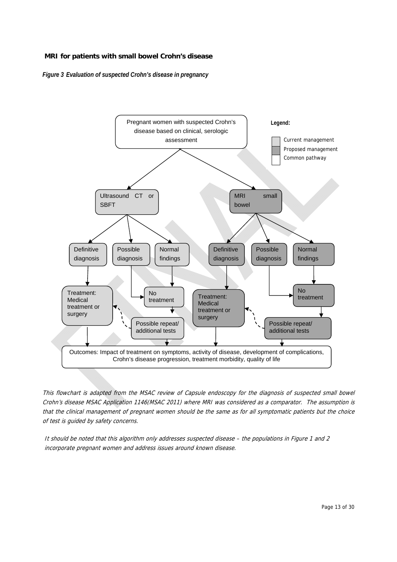*Figure 3 Evaluation of suspected Crohn's disease in pregnancy* 



This flowchart is adapted from the MSAC review of Capsule endoscopy for the diagnosis of suspected small bowel Crohn's disease MSAC Application 1146(MSAC 2011) where MRI was considered as a comparator. The assumption is that the clinical management of pregnant women should be the same as for all symptomatic patients but the choice of test is guided by safety concerns.

It should be noted that this algorithm only addresses suspected disease – the populations in Figure 1 and 2 incorporate pregnant women and address issues around known disease.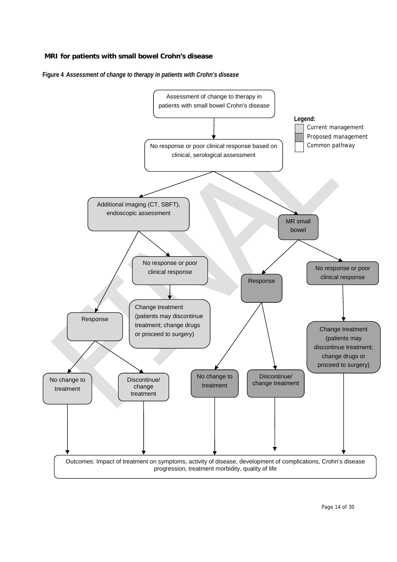**Figure 4** *Assessment of change to therapy in patients with Crohn's disease* 

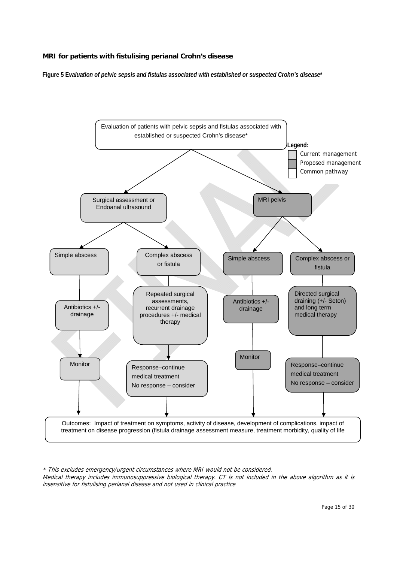#### **MRI for patients with fistulising perianal Crohn's disease**

**Figure 5 E***valuation of pelvic sepsis and fistulas associated with established or suspected Crohn's disease***\***



\* This excludes emergency/urgent circumstances where MRI would not be considered. Medical therapy includes immunosuppressive biological therapy. CT is not included in the above algorithm as it is insensitive for fistulising perianal disease and not used in clinical practice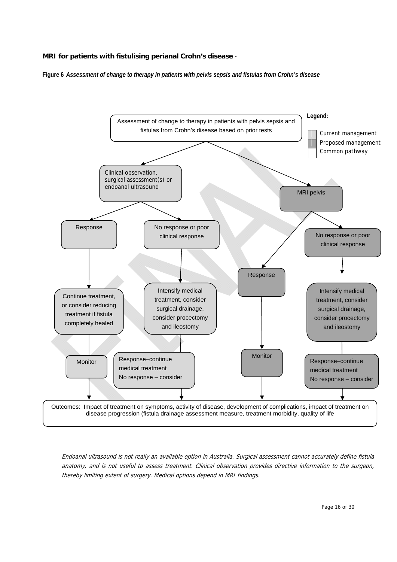#### **MRI for patients with fistulising perianal Crohn's disease** -

**Figure 6** *Assessment of change to therapy in patients with pelvis sepsis and fistulas from Crohn's disease*



Endoanal ultrasound is not really an available option in Australia. Surgical assessment cannot accurately define fistula anatomy, and is not useful to assess treatment. Clinical observation provides directive information to the surgeon, thereby limiting extent of surgery. Medical options depend in MRI findings.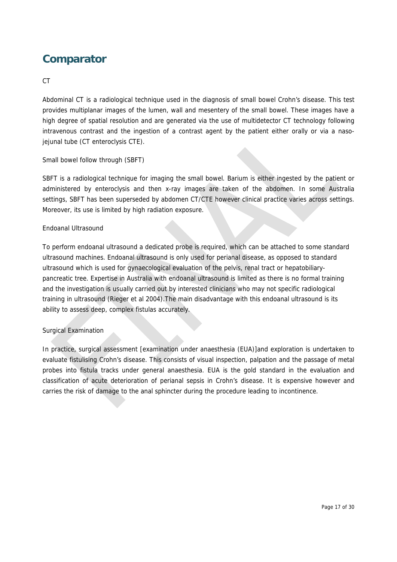## **Comparator**

#### CT

Abdominal CT is a radiological technique used in the diagnosis of small bowel Crohn's disease. This test provides multiplanar images of the lumen, wall and mesentery of the small bowel. These images have a high degree of spatial resolution and are generated via the use of multidetector CT technology following intravenous contrast and the ingestion of a contrast agent by the patient either orally or via a nasojejunal tube (CT enteroclysis CTE).

#### Small bowel follow through (SBFT)

SBFT is a radiological technique for imaging the small bowel. Barium is either ingested by the patient or administered by enteroclysis and then x-ray images are taken of the abdomen. In some Australia settings, SBFT has been superseded by abdomen CT/CTE however clinical practice varies across settings. Moreover, its use is limited by high radiation exposure.

#### Endoanal Ultrasound

To perform endoanal ultrasound a dedicated probe is required, which can be attached to some standard ultrasound machines. Endoanal ultrasound is only used for perianal disease, as opposed to standard ultrasound which is used for gynaecological evaluation of the pelvis, renal tract or hepatobiliarypancreatic tree. Expertise in Australia with endoanal ultrasound is limited as there is no formal training and the investigation is usually carried out by interested clinicians who may not specific radiological training in ultrasound (Rieger et al 2004).The main disadvantage with this endoanal ultrasound is its ability to assess deep, complex fistulas accurately.

#### Surgical Examination

In practice, surgical assessment [examination under anaesthesia (EUA)]and exploration is undertaken to evaluate fistulising Crohn's disease. This consists of visual inspection, palpation and the passage of metal probes into fistula tracks under general anaesthesia. EUA is the gold standard in the evaluation and classification of acute deterioration of perianal sepsis in Crohn's disease. It is expensive however and carries the risk of damage to the anal sphincter during the procedure leading to incontinence.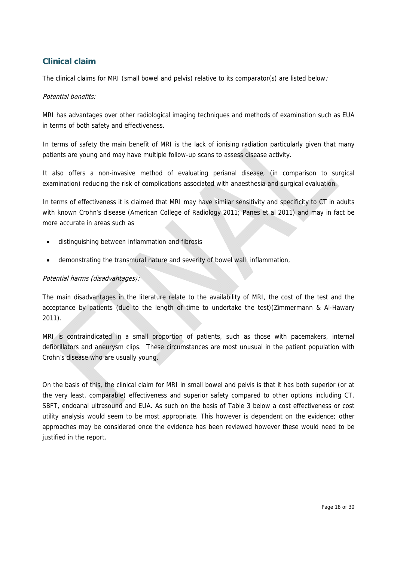## **Clinical claim**

The clinical claims for MRI (small bowel and pelvis) relative to its comparator(s) are listed below.

#### Potential benefits:

MRI has advantages over other radiological imaging techniques and methods of examination such as EUA in terms of both safety and effectiveness.

In terms of safety the main benefit of MRI is the lack of ionising radiation particularly given that many patients are young and may have multiple follow-up scans to assess disease activity.

It also offers a non-invasive method of evaluating perianal disease, (in comparison to surgical examination) reducing the risk of complications associated with anaesthesia and surgical evaluation.

In terms of effectiveness it is claimed that MRI may have similar sensitivity and specificity to CT in adults with known Crohn's disease (American College of Radiology 2011; Panes et al 2011) and may in fact be more accurate in areas such as

- distinguishing between inflammation and fibrosis
- demonstrating the transmural nature and severity of bowel wall inflammation,

#### Potential harms (disadvantages):

The main disadvantages in the literature relate to the availability of MRI, the cost of the test and the acceptance by patients (due to the length of time to undertake the test)(Zimmermann & Al-Hawary 2011).

MRI is contraindicated in a small proportion of patients, such as those with pacemakers, internal defibrillators and aneurysm clips. These circumstances are most unusual in the patient population with Crohn's disease who are usually young.

On the basis of this, the clinical claim for MRI in small bowel and pelvis is that it has both superior (or at the very least, comparable) effectiveness and superior safety compared to other options including CT, SBFT, endoanal ultrasound and EUA. As such on the basis of Table 3 below a cost effectiveness or cost utility analysis would seem to be most appropriate. This however is dependent on the evidence; other approaches may be considered once the evidence has been reviewed however these would need to be justified in the report.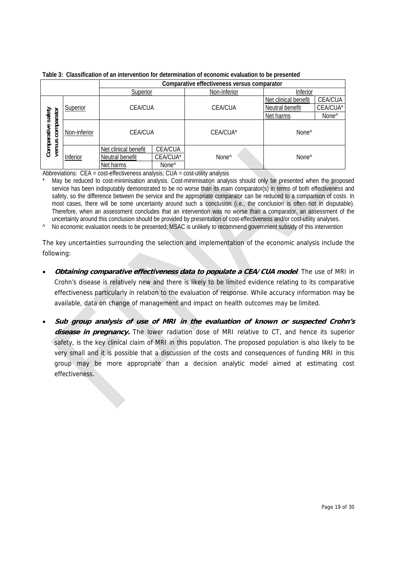|                           |              | Comparative effectiveness versus comparator |                   |                   |                      |                   |  |  |
|---------------------------|--------------|---------------------------------------------|-------------------|-------------------|----------------------|-------------------|--|--|
|                           |              | Superior                                    |                   | Non-inferior      | Inferior             |                   |  |  |
|                           |              | <b>CEA/CUA</b>                              |                   |                   | Net clinical benefit | <b>CEA/CUA</b>    |  |  |
|                           | Superior     |                                             |                   | <b>CEA/CUA</b>    | Neutral benefit      | CEA/CUA*          |  |  |
| safety                    |              |                                             |                   |                   | Net harms            | None <sup>^</sup> |  |  |
| comparator<br>Comparative | Non-inferior | <b>CEA/CUA</b>                              |                   | CEA/CUA*          | None <sup>^</sup>    |                   |  |  |
| versus                    |              | Net clinical benefit                        | CEA/CUA           |                   |                      |                   |  |  |
|                           | Inferior     | Neutral benefit                             | CEA/CUA*          | None <sup>^</sup> | None <sup>^</sup>    |                   |  |  |
|                           |              | Net harms                                   | None <sup>^</sup> |                   |                      |                   |  |  |

**Table 3: Classification of an intervention for determination of economic evaluation to be presented** 

Abbreviations: CEA = cost-effectiveness analysis; CUA = cost-utility analysis

May be reduced to cost-minimisation analysis. Cost-minimisation analysis should only be presented when the proposed service has been indisputably demonstrated to be no worse than its main comparator(s) in terms of both effectiveness and safety, so the difference between the service and the appropriate comparator can be reduced to a comparison of costs. In most cases, there will be some uncertainty around such a conclusion (i.e., the conclusion is often not in disputable). Therefore, when an assessment concludes that an intervention was no worse than a comparator, an assessment of the uncertainty around this conclusion should be provided by presentation of cost-effectiveness and/or cost-utility analyses.

^ No economic evaluation needs to be presented; MSAC is unlikely to recommend government subsidy of this intervention

The key uncertainties surrounding the selection and implementation of the economic analysis include the following:

- **Obtaining comparative effectiveness data to populate a CEA/CUA model**. The use of MRI in Crohn's disease is relatively new and there is likely to be limited evidence relating to its comparative effectiveness particularly in relation to the evaluation of response. While accuracy information may be available, data on change of management and impact on health outcomes may be limited.
- **Sub group analysis of use of MRI in the evaluation of known or suspected Crohn's**  disease in pregnancy. The lower radiation dose of MRI relative to CT, and hence its superior safety, is the key clinical claim of MRI in this population. The proposed population is also likely to be very small and it is possible that a discussion of the costs and consequences of funding MRI in this group may be more appropriate than a decision analytic model aimed at estimating cost effectiveness.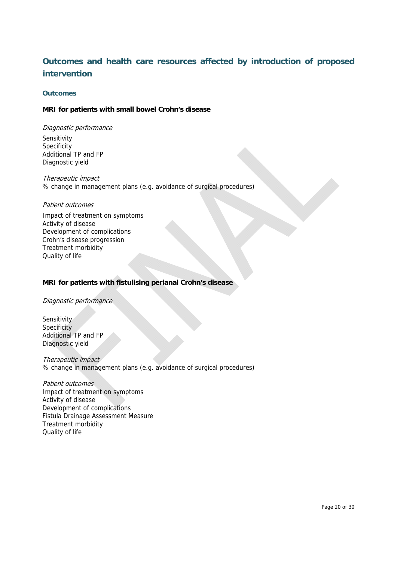## **Outcomes and health care resources affected by introduction of proposed intervention**

#### **Outcomes**

#### **MRI for patients with small bowel Crohn's disease**

Diagnostic performance Sensitivity **Specificity** Additional TP and FP Diagnostic yield

Therapeutic impact % change in management plans (e.g. avoidance of surgical procedures)

#### Patient outcomes

Impact of treatment on symptoms Activity of disease Development of complications Crohn's disease progression Treatment morbidity Quality of life

#### **MRI for patients with fistulising perianal Crohn's disease**

Diagnostic performance

**Sensitivity Specificity** Additional TP and FP Diagnostic yield

Therapeutic impact % change in management plans (e.g. avoidance of surgical procedures)

Patient outcomes Impact of treatment on symptoms Activity of disease Development of complications Fistula Drainage Assessment Measure Treatment morbidity Quality of life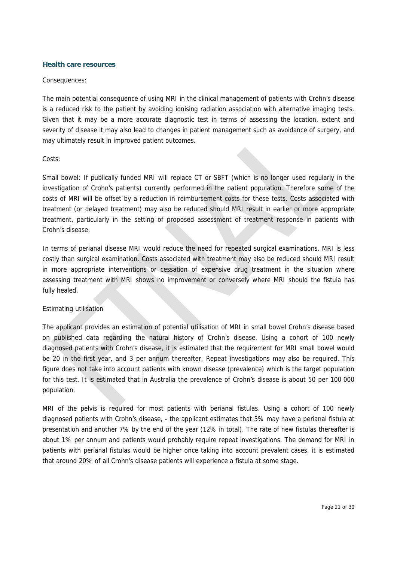#### **Health care resources**

#### Consequences:

The main potential consequence of using MRI in the clinical management of patients with Crohn's disease is a reduced risk to the patient by avoiding ionising radiation association with alternative imaging tests. Given that it may be a more accurate diagnostic test in terms of assessing the location, extent and severity of disease it may also lead to changes in patient management such as avoidance of surgery, and may ultimately result in improved patient outcomes.

#### Costs:

Small bowel: If publically funded MRI will replace CT or SBFT (which is no longer used regularly in the investigation of Crohn's patients) currently performed in the patient population. Therefore some of the costs of MRI will be offset by a reduction in reimbursement costs for these tests. Costs associated with treatment (or delayed treatment) may also be reduced should MRI result in earlier or more appropriate treatment, particularly in the setting of proposed assessment of treatment response in patients with Crohn's disease.

In terms of perianal disease MRI would reduce the need for repeated surgical examinations. MRI is less costly than surgical examination. Costs associated with treatment may also be reduced should MRI result in more appropriate interventions or cessation of expensive drug treatment in the situation where assessing treatment with MRI shows no improvement or conversely where MRI should the fistula has fully healed.

#### Estimating utilisation

The applicant provides an estimation of potential utilisation of MRI in small bowel Crohn's disease based on published data regarding the natural history of Crohn's disease. Using a cohort of 100 newly diagnosed patients with Crohn's disease, it is estimated that the requirement for MRI small bowel would be 20 in the first year, and 3 per annum thereafter. Repeat investigations may also be required. This figure does not take into account patients with known disease (prevalence) which is the target population for this test. It is estimated that in Australia the prevalence of Crohn's disease is about 50 per 100 000 population.

MRI of the pelvis is required for most patients with perianal fistulas. Using a cohort of 100 newly diagnosed patients with Crohn's disease, - the applicant estimates that 5% may have a perianal fistula at presentation and another 7% by the end of the year (12% in total). The rate of new fistulas thereafter is about 1% per annum and patients would probably require repeat investigations. The demand for MRI in patients with perianal fistulas would be higher once taking into account prevalent cases, it is estimated that around 20% of all Crohn's disease patients will experience a fistula at some stage.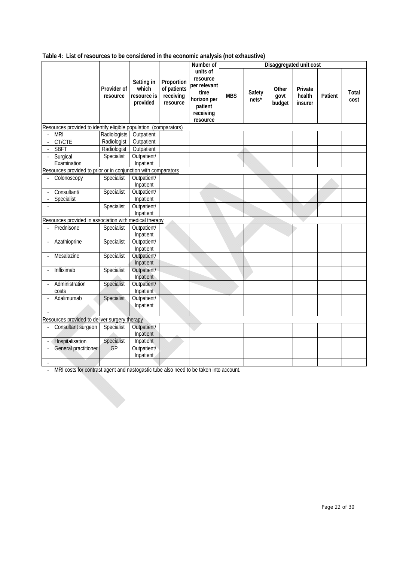| Table 4: List of resources to be considered in the economic analysis (not exhaustive) |
|---------------------------------------------------------------------------------------|
|---------------------------------------------------------------------------------------|

|                |                                                                  |                         |                                                |                                                    | Number of                                                                                       | Disaggregated unit cost |                 |                         |                              |         |               |
|----------------|------------------------------------------------------------------|-------------------------|------------------------------------------------|----------------------------------------------------|-------------------------------------------------------------------------------------------------|-------------------------|-----------------|-------------------------|------------------------------|---------|---------------|
|                |                                                                  | Provider of<br>resource | Setting in<br>which<br>resource is<br>provided | Proportion<br>of patients<br>receiving<br>resource | units of<br>resource<br>per relevant<br>time<br>horizon per<br>patient<br>receiving<br>resource | <b>MBS</b>              | Safety<br>nets* | Other<br>govt<br>budget | Private<br>health<br>insurer | Patient | Total<br>cost |
|                | Resources provided to identify eligible population (comparators) |                         |                                                |                                                    |                                                                                                 |                         |                 |                         |                              |         |               |
| $\overline{a}$ | <b>MRI</b>                                                       | Radiologists            | Outpatient                                     |                                                    |                                                                                                 |                         |                 |                         |                              |         |               |
|                | CT/CTE                                                           | Radiologist             | Outpatient                                     |                                                    |                                                                                                 |                         |                 |                         |                              |         |               |
|                | <b>SBFT</b>                                                      | Radiologist             | Outpatient                                     |                                                    |                                                                                                 |                         |                 |                         |                              |         |               |
|                | Surgical                                                         | Specialist              | Outpatient/                                    |                                                    |                                                                                                 |                         |                 |                         |                              |         |               |
|                | Examination                                                      |                         | Inpatient                                      |                                                    |                                                                                                 |                         |                 |                         |                              |         |               |
|                | Resources provided to prior or in conjunction with comparators   |                         |                                                |                                                    |                                                                                                 |                         |                 |                         |                              |         |               |
|                | Colonoscopy                                                      | Specialist              | Outpatient/<br>Inpatient                       |                                                    |                                                                                                 |                         |                 |                         |                              |         |               |
|                | Consultant/<br>Specialist                                        | Specialist              | Outpatient/<br>Inpatient                       |                                                    |                                                                                                 |                         |                 |                         |                              |         |               |
|                |                                                                  | Specialist              | Outpatient/<br>Inpatient                       |                                                    |                                                                                                 |                         |                 |                         |                              |         |               |
|                | Resources provided in association with medical therapy           |                         |                                                |                                                    |                                                                                                 |                         |                 |                         |                              |         |               |
|                | Prednisone                                                       | Specialist              | Outpatient/<br>Inpatient                       |                                                    |                                                                                                 |                         |                 |                         |                              |         |               |
|                | Azathioprine                                                     | Specialist              | Outpatient/<br>Inpatient                       |                                                    |                                                                                                 |                         |                 |                         |                              |         |               |
|                | Mesalazine                                                       | Specialist              | Outpatient/<br>Inpatient                       |                                                    |                                                                                                 |                         |                 |                         |                              |         |               |
|                | Infliximab                                                       | Specialist              | Outpatient/<br>Inpatient                       |                                                    |                                                                                                 |                         |                 |                         |                              |         |               |
|                | Administration<br>costs                                          | Specialist              | Outpatient/<br>Inpatient                       |                                                    |                                                                                                 |                         |                 |                         |                              |         |               |
|                | Adalimumab                                                       | Specialist              | Outpatient/<br>Inpatient                       |                                                    |                                                                                                 |                         |                 |                         |                              |         |               |
|                |                                                                  |                         |                                                |                                                    |                                                                                                 |                         |                 |                         |                              |         |               |
|                | Resources provided to deliver surgery therapy                    |                         |                                                |                                                    |                                                                                                 |                         |                 |                         |                              |         |               |
|                | Consultant surgeon                                               | Specialist              | Outpatient/<br>Inpatient                       |                                                    |                                                                                                 |                         |                 |                         |                              |         |               |
|                | Hospitalisation                                                  | Specialist              | Inpatient                                      |                                                    |                                                                                                 |                         |                 |                         |                              |         |               |
|                | General practitioner                                             | GP                      | Outpatient/<br>Inpatient                       |                                                    |                                                                                                 |                         |                 |                         |                              |         |               |
|                |                                                                  |                         |                                                |                                                    |                                                                                                 |                         |                 |                         |                              |         |               |

‐ MRI costs for contrast agent and nastogastic tube also need to be taken into account.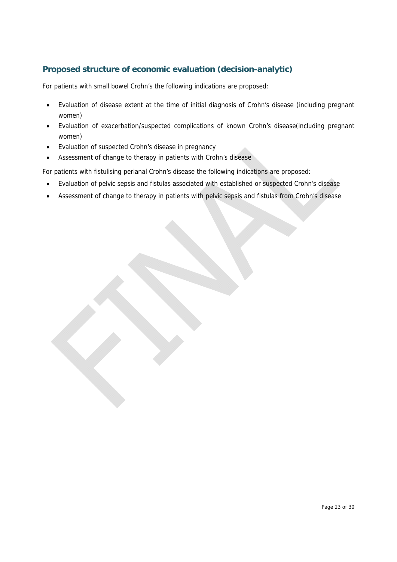## **Proposed structure of economic evaluation (decision-analytic)**

For patients with small bowel Crohn's the following indications are proposed:

- Evaluation of disease extent at the time of initial diagnosis of Crohn's disease (including pregnant women)
- Evaluation of exacerbation/suspected complications of known Crohn's disease(including pregnant women)
- Evaluation of suspected Crohn's disease in pregnancy
- Assessment of change to therapy in patients with Crohn's disease

For patients with fistulising perianal Crohn's disease the following indications are proposed:

- Evaluation of pelvic sepsis and fistulas associated with established or suspected Crohn's disease
- Assessment of change to therapy in patients with pelvic sepsis and fistulas from Crohn's disease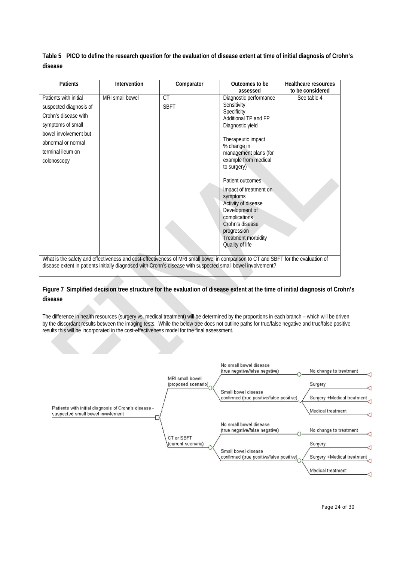**Table 5 PICO to define the research question for the evaluation of disease extent at time of initial diagnosis of Crohn's disease** 

| Patients                                                                                                                                                                        | Intervention    | Comparator                                                                                                                                                                                                                                       | Outcomes to be                                                                                                                                                                                                                                                                                                                                                                            | Healthcare resources |
|---------------------------------------------------------------------------------------------------------------------------------------------------------------------------------|-----------------|--------------------------------------------------------------------------------------------------------------------------------------------------------------------------------------------------------------------------------------------------|-------------------------------------------------------------------------------------------------------------------------------------------------------------------------------------------------------------------------------------------------------------------------------------------------------------------------------------------------------------------------------------------|----------------------|
|                                                                                                                                                                                 |                 |                                                                                                                                                                                                                                                  | assessed                                                                                                                                                                                                                                                                                                                                                                                  | to be considered     |
| Patients with initial<br>suspected diagnosis of<br>Crohn's disease with<br>symptoms of small<br>bowel involvement but<br>abnormal or normal<br>terminal ileum on<br>colonoscopy | MRI small bowel | <b>CT</b><br><b>SBFT</b>                                                                                                                                                                                                                         | Diagnostic performance<br>Sensitivity<br>Specificity<br>Additional TP and FP<br>Diagnostic yield<br>Therapeutic impact<br>% change in<br>management plans (for<br>example from medical<br>to surgery)<br>Patient outcomes<br>Impact of treatment on<br>symptoms<br>Activity of disease<br>Development of<br>complications<br>Crohn's disease<br>progression<br><b>Treatment morbidity</b> | See table 4          |
|                                                                                                                                                                                 |                 | What is the safety and effectiveness and cost-effectiveness of MRI small bowel in comparison to CT and SBFT for the evaluation of<br>disease extent in patients initially diagnosed with Crohn's disease with suspected small bowel involvement? | Quality of life                                                                                                                                                                                                                                                                                                                                                                           |                      |

#### **Figure 7 Simplified decision tree structure for the evaluation of disease extent at the time of initial diagnosis of Crohn's disease**

The difference in health resources (surgery vs. medical treatment) will be determined by the proportions in each branch – which will be driven by the discordant results between the imaging tests. While the below tree does not outline paths for true/false negative and true/false positive results this will be incorporated in the cost-effectiveness model for the final assessment.

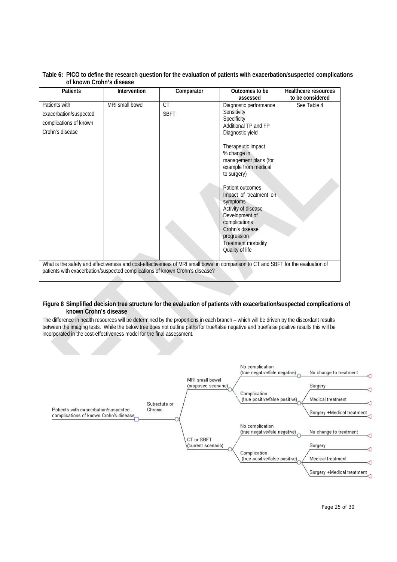| <b>Patients</b>                                                                                                                                                                                                   | Intervention    | Comparator  | Outcomes to be                                                                                                                                                                                      | Healthcare resources |
|-------------------------------------------------------------------------------------------------------------------------------------------------------------------------------------------------------------------|-----------------|-------------|-----------------------------------------------------------------------------------------------------------------------------------------------------------------------------------------------------|----------------------|
|                                                                                                                                                                                                                   |                 |             | assessed                                                                                                                                                                                            | to be considered     |
| Patients with                                                                                                                                                                                                     | MRI small bowel | <b>CT</b>   | Diagnostic performance                                                                                                                                                                              | See Table 4          |
| exacerbation/suspected                                                                                                                                                                                            |                 | <b>SBFT</b> | Sensitivity                                                                                                                                                                                         |                      |
| complications of known                                                                                                                                                                                            |                 |             | Specificity<br>Additional TP and FP                                                                                                                                                                 |                      |
| Crohn's disease                                                                                                                                                                                                   |                 |             | Diagnostic yield                                                                                                                                                                                    |                      |
|                                                                                                                                                                                                                   |                 |             | Therapeutic impact<br>% change in<br>management plans (for<br>example from medical<br>to surgery)                                                                                                   |                      |
|                                                                                                                                                                                                                   |                 |             | Patient outcomes<br>Impact of treatment on<br>symptoms<br>Activity of disease<br>Development of<br>complications<br>Crohn's disease<br>progression<br><b>Treatment morbidity</b><br>Quality of life |                      |
|                                                                                                                                                                                                                   |                 |             |                                                                                                                                                                                                     |                      |
| What is the safety and effectiveness and cost-effectiveness of MRI small bowel in comparison to CT and SBFT for the evaluation of<br>patients with exacerbation/suspected complications of known Crohn's disease? |                 |             |                                                                                                                                                                                                     |                      |

#### **Table 6: PICO to define the research question for the evaluation of patients with exacerbation/suspected complications of known Crohn's disease**

#### **Figure 8 Simplified decision tree structure for the evaluation of patients with exacerbation/suspected complications of known Crohn's disease**

The difference in health resources will be determined by the proportions in each branch – which will be driven by the discordant results between the imaging tests. While the below tree does not outline paths for true/false negative and true/false positive results this will be incorporated in the cost-effectiveness model for the final assessment.

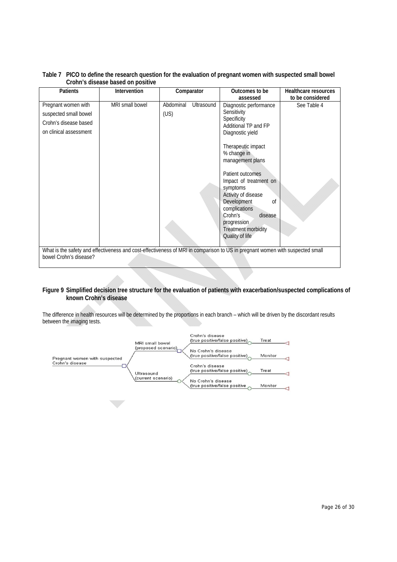| Table 7 PICO to define the research question for the evaluation of pregnant women with suspected small bowel |
|--------------------------------------------------------------------------------------------------------------|
| Crohn's disease based on positive                                                                            |

| <b>Patients</b>                                                                                                                                         | Intervention    |           | Comparator | Outcomes to be<br>Healthcare resources                                                                                                                                                                                                                             |                  |  |  |
|---------------------------------------------------------------------------------------------------------------------------------------------------------|-----------------|-----------|------------|--------------------------------------------------------------------------------------------------------------------------------------------------------------------------------------------------------------------------------------------------------------------|------------------|--|--|
|                                                                                                                                                         |                 |           |            | assessed                                                                                                                                                                                                                                                           | to be considered |  |  |
| Pregnant women with                                                                                                                                     | MRI small bowel | Abdominal | Ultrasound | Diagnostic performance                                                                                                                                                                                                                                             | See Table 4      |  |  |
| suspected small bowel                                                                                                                                   |                 | (US)      |            | Sensitivity                                                                                                                                                                                                                                                        |                  |  |  |
| Crohn's disease based                                                                                                                                   |                 |           |            | Specificity<br>Additional TP and FP                                                                                                                                                                                                                                |                  |  |  |
| on clinical assessment                                                                                                                                  |                 |           |            | Diagnostic yield                                                                                                                                                                                                                                                   |                  |  |  |
|                                                                                                                                                         |                 |           |            | Therapeutic impact<br>% change in<br>management plans<br>Patient outcomes<br>Impact of treatment on<br>symptoms<br>Activity of disease<br>Development<br>0f<br>complications<br>Crohn's<br>disease<br>progression<br><b>Treatment morbidity</b><br>Quality of life |                  |  |  |
| What is the safety and effectiveness and cost-effectiveness of MRI in comparison to US in pregnant women with suspected small<br>bowel Crohn's disease? |                 |           |            |                                                                                                                                                                                                                                                                    |                  |  |  |
|                                                                                                                                                         |                 |           |            |                                                                                                                                                                                                                                                                    |                  |  |  |

#### **Figure 9 Simplified decision tree structure for the evaluation of patients with exacerbation/suspected complications of known Crohn's disease**

The difference in health resources will be determined by the proportions in each branch – which will be driven by the discordant results between the imaging tests.

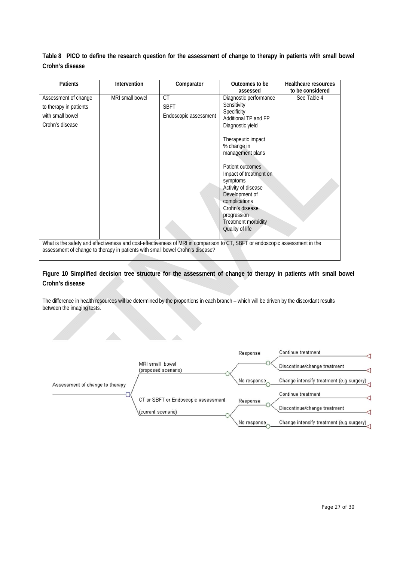**Table 8 PICO to define the research question for the assessment of change to therapy in patients with small bowel Crohn's disease**

| Patients               | Intervention                                                                  | Comparator                                                                                                                   | Outcomes to be                                                                                                                                                                                                                                               | <b>Healthcare resources</b> |
|------------------------|-------------------------------------------------------------------------------|------------------------------------------------------------------------------------------------------------------------------|--------------------------------------------------------------------------------------------------------------------------------------------------------------------------------------------------------------------------------------------------------------|-----------------------------|
|                        |                                                                               |                                                                                                                              | assessed                                                                                                                                                                                                                                                     | to be considered            |
| Assessment of change   | MRI small bowel                                                               | <b>CT</b>                                                                                                                    | Diagnostic performance                                                                                                                                                                                                                                       | See Table 4                 |
| to therapy in patients |                                                                               | <b>SBFT</b>                                                                                                                  | Sensitivity                                                                                                                                                                                                                                                  |                             |
| with small bowel       |                                                                               | Endoscopic assessment                                                                                                        | Specificity                                                                                                                                                                                                                                                  |                             |
|                        |                                                                               |                                                                                                                              | Additional TP and FP                                                                                                                                                                                                                                         |                             |
| Crohn's disease        |                                                                               |                                                                                                                              | Diagnostic yield                                                                                                                                                                                                                                             |                             |
|                        |                                                                               |                                                                                                                              | Therapeutic impact<br>% change in<br>management plans<br>Patient outcomes<br>Impact of treatment on<br>symptoms<br>Activity of disease<br>Development of<br>complications<br>Crohn's disease<br>progression<br><b>Treatment morbidity</b><br>Quality of life |                             |
|                        |                                                                               | What is the safety and effectiveness and cost-effectiveness of MRI in comparison to CT, SBFT or endoscopic assessment in the |                                                                                                                                                                                                                                                              |                             |
|                        | assessment of change to therapy in patients with small bowel Crohn's disease? |                                                                                                                              |                                                                                                                                                                                                                                                              |                             |
|                        |                                                                               |                                                                                                                              |                                                                                                                                                                                                                                                              |                             |

#### **Figure 10 Simplified decision tree structure for the assessment of change to therapy in patients with small bowel Crohn's disease**

The difference in health resources will be determined by the proportions in each branch – which will be driven by the discordant results between the imaging tests.

dia.

|                                 |                                        | Response    | Continue treatment                       |
|---------------------------------|----------------------------------------|-------------|------------------------------------------|
|                                 | MRI small bowel<br>(proposed scenario) |             | Discontinue/change treatment             |
| Assessment of change to therapy |                                        | No response | Change intensify treatment (e.g surgery) |
|                                 | CT or SBFT or Endoscopic assessment    | Response    | Continue treatment                       |
|                                 | (current scenario).                    |             | Discontinue/change treatment             |
|                                 |                                        | No response | Change intensify treatment (e.g surgery) |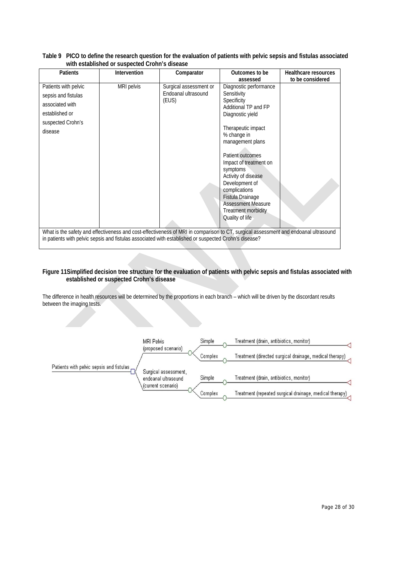| Patients                                                                                                                            | <b>Intervention</b> | Comparator                                             | Outcomes to be                                                                                                                                                                                                                                                                                                                                                                       | Healthcare resources |  |  |
|-------------------------------------------------------------------------------------------------------------------------------------|---------------------|--------------------------------------------------------|--------------------------------------------------------------------------------------------------------------------------------------------------------------------------------------------------------------------------------------------------------------------------------------------------------------------------------------------------------------------------------------|----------------------|--|--|
|                                                                                                                                     |                     |                                                        |                                                                                                                                                                                                                                                                                                                                                                                      |                      |  |  |
| Patients with pelvic<br>sepsis and fistulas<br>associated with<br>established or<br>suspected Crohn's<br>disease                    | MRI pelvis          | Surgical assessment or<br>Endoanal ultrasound<br>(EUS) | assessed<br>Diagnostic performance<br>Sensitivity<br>Specificity<br>Additional TP and FP<br>Diagnostic yield<br>Therapeutic impact<br>% change in<br>management plans<br>Patient outcomes<br>Impact of treatment on<br>symptoms<br>Activity of disease<br>Development of<br>complications<br>Fistula Drainage<br><b>Assessment Measure</b><br>Treatment morbidity<br>Quality of life | to be considered     |  |  |
|                                                                                                                                     |                     |                                                        |                                                                                                                                                                                                                                                                                                                                                                                      |                      |  |  |
| What is the safety and effectiveness and cost-effectiveness of MRI in comparison to CT, surgical assessment and endoanal ultrasound |                     |                                                        |                                                                                                                                                                                                                                                                                                                                                                                      |                      |  |  |
| in patients with pelvic sepsis and fistulas associated with established or suspected Crohn's disease?                               |                     |                                                        |                                                                                                                                                                                                                                                                                                                                                                                      |                      |  |  |

**Table 9 PICO to define the research question for the evaluation of patients with pelvic sepsis and fistulas associated with established or suspected Crohn's disease** 

#### **Figure 11Simplified decision tree structure for the evaluation of patients with pelvic sepsis and fistulas associated with established or suspected Crohn's disease**

The difference in health resources will be determined by the proportions in each branch – which will be driven by the discordant results between the imaging tests.

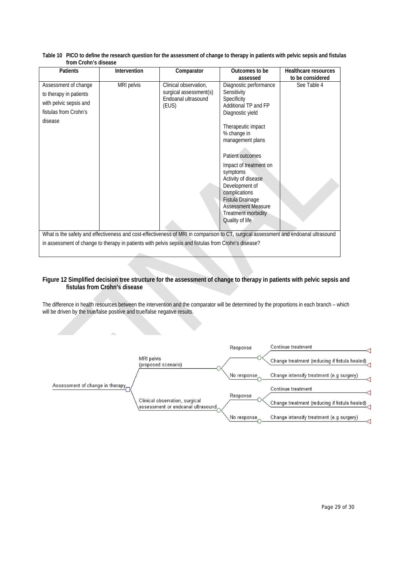| <b>Patients</b>                                                                                                                     | Intervention | Comparator             | Outcomes to be                                                                                                                                           | Healthcare resources |  |  |  |
|-------------------------------------------------------------------------------------------------------------------------------------|--------------|------------------------|----------------------------------------------------------------------------------------------------------------------------------------------------------|----------------------|--|--|--|
|                                                                                                                                     |              |                        | assessed                                                                                                                                                 | to be considered     |  |  |  |
| Assessment of change                                                                                                                | MRI pelvis   | Clinical observation,  | Diagnostic performance                                                                                                                                   | See Table 4          |  |  |  |
| to therapy in patients                                                                                                              |              | surgical assessment(s) | Sensitivity                                                                                                                                              |                      |  |  |  |
| with pelvic sepsis and                                                                                                              |              | Endoanal ultrasound    | Specificity                                                                                                                                              |                      |  |  |  |
|                                                                                                                                     |              | (EUS)                  | Additional TP and FP                                                                                                                                     |                      |  |  |  |
| fistulas from Crohn's                                                                                                               |              |                        | Diagnostic yield                                                                                                                                         |                      |  |  |  |
| disease                                                                                                                             |              |                        | Therapeutic impact<br>% change in<br>management plans<br>Patient outcomes<br>Impact of treatment on<br>symptoms<br>Activity of disease<br>Development of |                      |  |  |  |
|                                                                                                                                     |              |                        | complications<br>Fistula Drainage<br><b>Assessment Measure</b><br><b>Treatment morbidity</b>                                                             |                      |  |  |  |
|                                                                                                                                     |              |                        | Quality of life                                                                                                                                          |                      |  |  |  |
| What is the safety and effectiveness and cost-effectiveness of MRI in comparison to CT, surgical assessment and endoanal ultrasound |              |                        |                                                                                                                                                          |                      |  |  |  |
| in assessment of change to therapy in patients with pelvis sepsis and fistulas from Crohn's disease?                                |              |                        |                                                                                                                                                          |                      |  |  |  |
|                                                                                                                                     |              |                        |                                                                                                                                                          |                      |  |  |  |

**Table 10 PICO to define the research question for the assessment of change to therapy in patients with pelvic sepsis and fistulas from Crohn's disease** 

#### **Figure 12 Simplified decision tree structure for the assessment of change to therapy in patients with pelvic sepsis and fistulas from Crohn's disease**

The difference in health resources between the intervention and the comparator will be determined by the proportions in each branch – which will be driven by the true/false positive and true/false negative results.